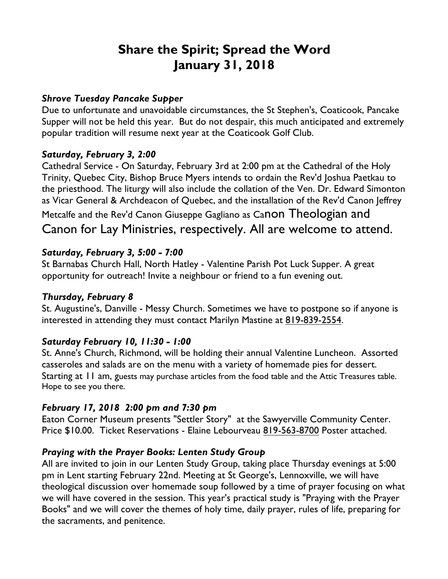# **Share the Spirit; Spread the Word January 31, 2018**

#### *Shrove Tuesday Pancake Supper*

Due to unfortunate and unavoidable circumstances, the St Stephen's, Coaticook, Pancake Supper will not be held this year. But do not despair, this much anticipated and extremely popular tradition will resume next year at the Coaticook Golf Club.

## *Saturday, February 3, 2:00*

Cathedral Service - On Saturday, February 3rd at 2:00 pm at the Cathedral of the Holy Trinity, Quebec City, Bishop Bruce Myers intends to ordain the Rev'd Joshua Paetkau to the priesthood. The liturgy will also include the collation of the Ven. Dr. Edward Simonton as Vicar General & Archdeacon of Quebec, and the installation of the Rev'd Canon Jeffrey

Metcalfe and the Rev'd Canon Giuseppe Gagliano as Canon Theologian and Canon for Lay Ministries, respectively. All are welcome to attend.

## *Saturday, February 3, 5:00 - 7:00*

St Barnabas Church Hall, North Hatley - Valentine Parish Pot Luck Supper. A great opportunity for outreach! Invite a neighbour or friend to a fun evening out.

## *Thursday, February 8*

St. Augustine's, Danville - Messy Church. Sometimes we have to postpone so if anyone is interested in attending they must contact Marilyn Mastine at 819-839-2554.

## *Saturday February 10, 11:30 - 1:00*

St. Anne's Church, Richmond, will be holding their annual Valentine Luncheon. Assorted casseroles and salads are on the menu with a variety of homemade pies for dessert. Starting at 11 am, guests may purchase articles from the food table and the Attic Treasures table. Hope to see you there.

## *February 17, 2018 2:00 pm and 7:30 pm*

Eaton Corner Museum presents "Settler Story" at the Sawyerville Community Center. Price \$10.00. Ticket Reservations - Elaine Lebourveau 819-563-8700 Poster attached.

## *Praying with the Prayer Books: Lenten Study Group*

All are invited to join in our Lenten Study Group, taking place Thursday evenings at 5:00 pm in Lent starting February 22nd. Meeting at St George's, Lennoxville, we will have theological discussion over homemade soup followed by a time of prayer focusing on what we will have covered in the session. This year's practical study is "Praying with the Prayer Books" and we will cover the themes of holy time, daily prayer, rules of life, preparing for the sacraments, and penitence.